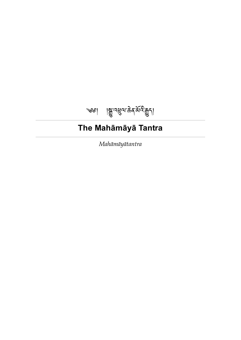<span id="page-0-0"></span>

# **The Mahāmāyā Tantra**

*Mahāmāyātantra*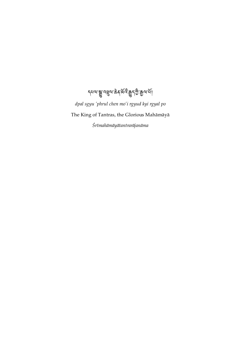ৼ<sub>৸</sub><br>৴য়ড়৻য়য়ৼয়৻ড়৻ড়ৼ৻ড়৻ড়৻ড়৻ড়৻ড়৻

*dpal sgyu 'phrul chen mo'i rgyud kyi rgyal po* The King of Tantras, the Glorious Mahāmāyā *Śrīmahāmāyātantrarājanāma*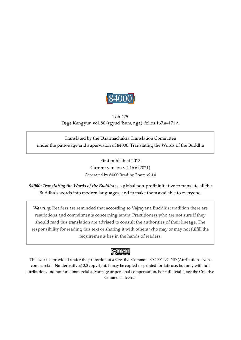

<span id="page-2-0"></span>Toh 425 Degé Kangyur, vol. 80 (rgyud 'bum, nga), folios 167.a–171.a.

Translated by the Dharmachakra Translation Committee under the patronage and supervision of 84000: Translating the Words of the Buddha

> First published 2013 Current version v 2.16.6 (2021) Generated by 84000 Reading Room v2.4.0

*84000: Translating the Words of the Buddha* is a global non-profit initiative to translate all the Buddha's words into modern languages, and to make them available to everyone.

*Warning:* Readers are reminded that according to Vajrayāna Buddhist tradition there are restrictions and commitments concerning tantra. Practitioners who are not sure if they should read this translation are advised to consult the authorities of their lineage. The responsibility for reading this text or sharing it with others who may or may not fulfill the requirements lies in the hands of readers.



This work is provided under the protection of a Creative Commons CC BY-NC-ND (Attribution - Noncommercial - No-derivatives) 3.0 copyright. It may be copied or printed for fair use, but only with full attribution, and not for commercial advantage or personal compensation. For full details, see the Creative Commons license.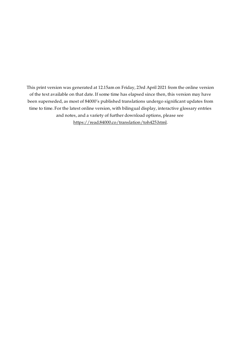This print version was generated at 12.15am on Friday, 23rd April 2021 from the online version of the text available on that date. If some time has elapsed since then, this version may have been superseded, as most of 84000's published translations undergo significant updates from time to time. For the latest online version, with bilingual display, interactive glossary entries and notes, and a variety of further download options, please see [https://read.84000.co/translation/toh425.html.](https://read.84000.co/translation/toh425.html)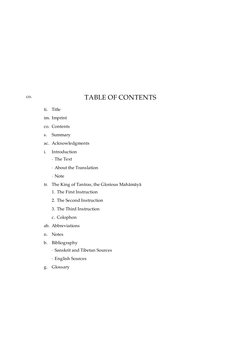## TABLE OF CONTENTS

- ti. [Title](#page-0-0)
- im. [Imprint](#page-2-0)
- co. [Contents](#page-4-0)
- s. [Summary](#page-5-0)
- ac. [Acknowledgments](#page-6-0)
- i. [Introduction](#page-7-0)
	- · The [Text](#page-8-0)
	- · About the [Translation](#page-14-0)
	- · [Note](#page-15-0)
- tr. The King of Tantras, the Glorious [Mahāmāyā](#page-16-0)
	- 1. The First [Instruction](#page-17-0)
	- 2. The Second [Instruction](#page-20-0)
	- 3. The Third [Instruction](#page-22-0)
	- c. [Colophon](#page-26-0)
- ab. [Abbreviations](#page-27-0)
- n. [Notes](#page-28-0)
- b. [Bibliography](#page-35-0)
	- · [Sanskrit](#page-35-1) and Tibetan Sources
	- · [English](#page-36-0) Sources
- g. [Glossary](#page-38-0)

<span id="page-4-0"></span>[co.](#page-4-0)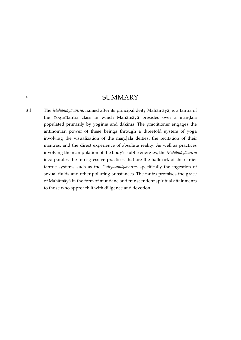### **SUMMARY**

<span id="page-5-1"></span><span id="page-5-0"></span>The *Mahāmāyātantra*, named after its principal deity Mahāmāyā, is a tantra of the Yoginītantra class in which Mahāmāyā presides over a maṇḍala populated primarily by yoginīs and ḍākinīs. The practitioner engages the antinomian power of these beings through a threefold system of yoga involving the visualization of the maṇḍala deities, the recitation of their mantras, and the direct experience of absolute reality. As well as practices involving the manipulation of the body's subtle energies, the *Mahāmāyātantra* incorporates the transgressive practices that are the hallmark of the earlier tantric systems such as the *Guhyasamājatantra*, specifically the ingestion of sexual fluids and other polluting substances. The tantra promises the grace of Mahāmāyā in the form of mundane and transcendent spiritual attainments to those who approach it with diligence and devotion. [s.1](#page-5-1)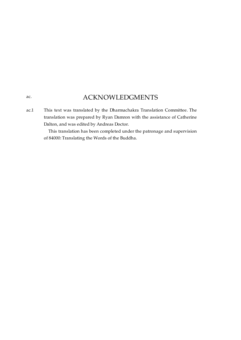## ACKNOWLEDGMENTS

<span id="page-6-1"></span>This text was translated by the Dharmachakra Translation Committee. The translation was prepared by Ryan Damron with the assistance of Catherine Dalton, and was edited by Andreas Doctor. [ac.1](#page-6-1)

> This translation has been completed under the patronage and supervision of 84000: Translating the Words of the Buddha.

### <span id="page-6-0"></span>[ac.](#page-6-0)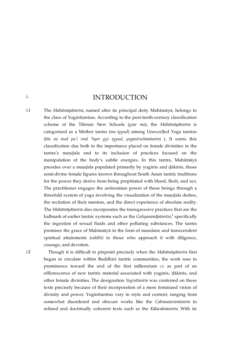INTRODUCTION

<span id="page-7-1"></span>The *Mahāmāyātantra*, named after its principal deity Mahāmāyā, belongs to the class of Yoginītantras. According to the post-tenth-century classification scheme of the Tibetan New Schools (*gsar ma*), the *Mahāmāyātantra* is categorized as a Mother tantra (*ma rgyud*) among Unexcelled Yoga tantras (*bla na med pa'i rnal 'byor gyi rgyud*, *yoganiruttaratantra* ). It earns this classification due both to the importance placed on female divinities in the tantra's maṇḍala and to its inclusion of practices focused on the manipulation of the body's subtle energies. In this tantra, Mahāmāyā presides over a maṇḍala populated primarily by yoginīs and ḍākinīs, those semi-divine female figures known throughout South Asian tantric traditions for the power they derive from being propitiated with blood, flesh, and sex. The practitioner engages the antinomian power of these beings through a threefold system of yoga involving the visualization of the maṇḍala deities, the recitation of their mantras, and the direct experience of absolute reality. The *Mahāmāyātantra* also incorporates the transgressive practices that are the hallmark of earlier tantric systems such as the *Guhyasamājatantra,* <sup>[1](#page-28-1)</sup> specifically the ingestion of sexual fluids and other polluting substances. The tantra promises the grace of Mahāmāyā in the form of mundane and transcendent spiritual attainments (*siddhi*) to those who approach it with diligence, courage, and devotion. [i.1](#page-7-1)

<span id="page-7-2"></span>[i.2](#page-7-2)

<span id="page-7-0"></span>[i.](#page-7-0)

<span id="page-7-3"></span>Though it is difficult to pinpoint precisely when the *Mahāmāyātantra* first began to circulate within Buddhist tantric communities, the work rose to prominence toward the end of the first millennium CE as part of an efflorescence of new tantric material associated with yoginīs, ḍākinīs, and other female divinities. The designation *Yoginītantra* was conferred on these texts precisely because of their incorporation of a more feminized vision of divinity and power. Yoginītantras vary in style and content, ranging from somewhat disordered and obscure works like the *Cakrasaṃvaratantra* to refined and doctrinally coherent texts such as the *Kālacakratantra*. With its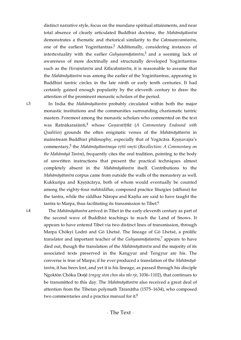<span id="page-8-4"></span><span id="page-8-3"></span>distinct narrative style, focus on the mundane spiritual attainments, and near total absence of clearly articulated Buddhist doctrine, the *Mahāmāyātantra* demonstrates a thematic and rhetorical similarity to the *Cakrasaṃvaratantra*, one of the earliest Yogin $\text{atantras}^2$  $\text{atantras}^2$  Additionally, considering instances of intertextuality with the earlier *Guhyasamājatantra*,<sup>[3](#page-28-3)</sup> and a seeming lack of awareness of more doctrinally and structurally developed Yoginītantras such as the *Hevajratantra* and *Kālacakratantra*, it is reasonable to assume that the *Mahāmāyātantra* was among the earlier of the Yoginītantras, appearing in Buddhist tantric circles in the late ninth or early tenth centuries. It had certainly gained enough popularity by the eleventh century to draw the attention of the prominent monastic scholars of the period.

<span id="page-8-1"></span>[i.3](#page-8-1)

<span id="page-8-6"></span><span id="page-8-5"></span>In India the *Mahāmāyātantra* probably circulated within both the major monastic institutions and the communities surrounding charismatic tantric masters. Foremost among the monastic scholars who commented on the text was Ratnākaraśānti, whose *Guṇavatīṭīkā* (*A Commentary Endowed with* [4](#page-28-4) *Qualities*) grounds the often enigmatic verses of the *Mahāmāyātantra* in mainstream Buddhist philosophy, especially that of Yogācāra. Krsnavajra's commentary, the *Mahāmāyātantrasya vṛtti smṛti* (*Recollection: A Commentary on* [5](#page-28-5) *the Mahāmāyā Tantra*), frequently cites the oral tradition, pointing to the body of unwritten instructions that present the practical techniques almost completely absent in the *Mahāmāyātantra* itself. Contributions to the *Mahāmāyātantra* corpus came from outside the walls of the monastery as well. Kukkuripa and Kṛṣṇācārya, both of whom would eventually be counted among the eighty-four *mahāsiddhas*, composed practice liturgies (*sādhana*) for the tantra, while the siddhas Nāropa and Kanha are said to have taught the tantra to Marpa, thus facilitating its transmission to Tibet. $^6$  $^6$ 

<span id="page-8-2"></span><span id="page-8-0"></span>[i.4](#page-8-2)

<span id="page-8-9"></span><span id="page-8-8"></span><span id="page-8-7"></span>The *Mahāmāyātantra* arrived in Tibet in the early eleventh century as part of the second wave of Buddhist teachings to reach the Land of Snows. It appears to have entered Tibet via two distinct lines of transmission, through Marpa Chökyi Lodrö and Gö Lhetsé. The lineage of Gö Lhetsé, a prolific translator and important teacher of the *Guhyasamājatantra*,<sup>[7](#page-28-7)</sup> appears to have died out, though the translation of the *Mahāmāyātantra* and the majority of its associated texts preserved in the Kangyur and Tengyur are his. The converse is true of Marpa; if he ever produced a translation of the *Mahāmāyātantra*, it has been lost, and yet it is his lineage, as passed through his disciple Ngoktön Chöku Dorjé (*rngog ston chos sku rdo rje*, 1036–1102), that continues to be transmitted to this day. The *Mahāmāyātantra* also received a great deal of attention from the Tibetan polymath Tāranātha (1575–1634), who composed two commentaries and a practice manual for it. $^8$  $^8$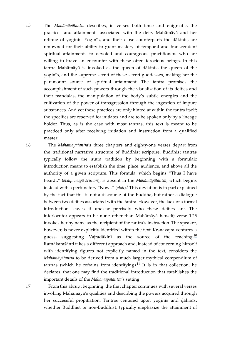<span id="page-9-0"></span>The *Mahāmāyātantra* describes, in verses both terse and enigmatic, the practices and attainments associated with the deity Mahāmāyā and her retinue of yoginīs. Yoginīs, and their close counterparts the ḍākinīs, are renowned for their ability to grant mastery of temporal and transcendent spiritual attainments to devoted and courageous practitioners who are willing to brave an encounter with these often ferocious beings. In this tantra Mahāmāyā is invoked as the queen of ḍākinīs, the queen of the yoginīs, and the supreme secret of these secret goddesses, making her the paramount source of spiritual attainment. The tantra promises the accomplishment of such powers through the visualization of its deities and their maṇḍalas, the manipulation of the body's subtle energies and the cultivation of the power of transgression through the ingestion of impure substances. And yet these practices are only hinted at within the tantra itself; the specifics are reserved for initiates and are to be spoken only by a lineage holder. Thus, as is the case with most tantras, this text is meant to be practiced only after receiving initiation and instruction from a qualified master. [i.5](#page-9-0)

<span id="page-9-1"></span>[i.6](#page-9-1)

<span id="page-9-3"></span>The *Mahāmāyātantra*'s three chapters and eighty-one verses depart from the traditional narrative structure of Buddhist scripture. Buddhist tantras typically follow the sūtra tradition by beginning with a formulaic introduction meant to establish the time, place, audience, and above all the authority of a given scripture. This formula, which begins "Thus I have heard..." (*evaṃ mayā śrutaṃ*), is absent in the *Mahāmāyātantra*, which begins instead with a perfunctory "Now…" (ataḥ).<sup>[9](#page-29-0)</sup> This deviation is in part explained by the fact that this is not a discourse of the Buddha, but rather a dialogue between two deities associated with the tantra. However, the lack of a formal introduction leaves it unclear precisely who these deities are. The interlocutor appears to be none other than Mahāmāyā herself; verse 1.25 invokes her by name as the recipient of the tantra's instruction. The speaker, however, is never explicitly identified within the text. Krsnavajra ventures a guess, suggesting Vajraḍākinī as the source of the teaching. $^{10}$  $^{10}$  $^{10}$ Ratnākaraśānti takes a different approach and, instead of concerning himself with identifying figures not explicitly named in the text, considers the *Mahāmāyātantra* to be derived from a much larger mythical compendium of tantras (which he refrains from identifying). $^{11}$  $^{11}$  $^{11}$  It is in that collection, he declares, that one may find the traditional introduction that establishes the important details of the *Mahāmāyātantra*'s setting.

<span id="page-9-5"></span><span id="page-9-4"></span><span id="page-9-2"></span>From this abrupt beginning, the first chapter continues with several verses invoking Mahāmāyā's qualities and describing the powers acquired through her successful propitiation. Tantras centered upon yoginīs and ḍākinīs, whether Buddhist or non-Buddhist, typically emphasize the attainment of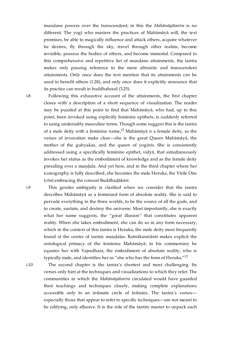mundane powers over the transcendent; in this the *Mahāmāyātantra* is no different. The yogī who masters the practices of Mahāmāyā will, the text promises, be able to magically influence and attack others, acquire whatever he desires, fly through the sky, travel through other realms, become invisible, possess the bodies of others, and become immortal. Compared to this comprehensive and repetitive list of mundane attainments, the tantra makes only passing reference to the more altruistic and transcendent attainments. Only once does the text mention that its attainments can be used to benefit others (1.28), and only once does it explicitly announce that its practice can result in buddhahood (3.25).

<span id="page-10-0"></span>[i.8](#page-10-0)

<span id="page-10-3"></span>Following this exhaustive account of the attainments, the first chapter closes with a description of a short sequence of visualization. The reader may be puzzled at this point to find that Mahāmāyā, who had, up to this point, been invoked using explicitly feminine epithets, is suddenly referred to using undeniably masculine terms. Though some suggest this is the tantra of a male deity with a feminine name,<sup>[12](#page-29-3)</sup> Mahāmāyā *is* a female deity, as the verses of invocation make clear—she is the great Queen Mahāmāyā, the mother of the guhyakas, and the queen of yoginīs. She is consistently addressed using a specifically feminine epithet, vidyā, that simultaneously invokes her status as the embodiment of knowledge and as the female deity presiding over a maṇḍala. And yet here, and in the third chapter where her iconography is fully described, she becomes the male Heruka, the Virile One (*vīra*) embracing the consort Buddhaḍākinī.

<span id="page-10-1"></span>This gender ambiguity is clarified when we consider that the tantra describes Mahāmāyā as a feminized form of absolute reality. She is said to pervade everything in the three worlds, to be the source of all the gods, and to create, sustain, and destroy the universe. Most importantly, she is exactly what her name suggests, the "great illusion" that constitutes apparent reality. When she takes embodiment, she can do so in any form necessary, which in the context of this tantra is Heruka, the male deity most frequently found at the center of tantric mandalas. Ratnākaraśānti makes explicit the ontological primacy of the feminine Mahāmāyā; in his commentary he equates her with Vajradhara, the embodiment of absolute reality, who is typically male, and identifies her as "she who has the form of Heruka." $^{13}$  $^{13}$  $^{13}$ 

<span id="page-10-2"></span>[i.10](#page-10-2)

<span id="page-10-4"></span>The second chapter is the tantra's shortest and most challenging. Its verses only hint at the techniques and visualizations to which they refer. The communities in which the *Mahāmāyātantra* circulated would have guarded their teachings and techniques closely, making complete explanations accessible only to an intimate circle of initiates. The tantra's verses especially those that appear to refer to specific techniques—are not meant to be edifying, only allusive. It is the role of the tantric master to unpack each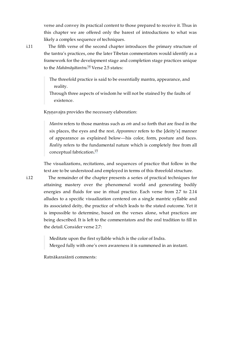verse and convey its practical content to those prepared to receive it. Thus in this chapter we are offered only the barest of introductions to what was likely a complex sequence of techniques.

<span id="page-11-0"></span>[i.11](#page-11-0)

The fifth verse of the second chapter introduces the primary structure of the tantra's practices, one the later Tibetan commentators would identify as a framework for the development stage and completion stage practices unique to the *Mahāmāyātantra.<sup>[14](#page-29-5)</sup> Verse 2.5 states*:

<span id="page-11-2"></span>The threefold practice is said to be essentially mantra, appearance, and reality.

Through three aspects of wisdom he will not be stained by the faults of existence.

Kṛṣṇavajra provides the necessary elaboration:

*Mantra* refers to those mantras such as *oṁ* and so forth that are fixed in the six places, the eyes and the rest. *Appearance* refers to the [deity's] manner of appearance as explained below—his color, form, posture and faces. *Reality* refers to the fundamental nature which is completely free from all conceptual fabrication. [15](#page-29-6)

<span id="page-11-3"></span>The visualizations, recitations, and sequences of practice that follow in the text are to be understood and employed in terms of this threefold structure.

<span id="page-11-1"></span>The remainder of the chapter presents a series of practical techniques for attaining mastery over the phenomenal world and generating bodily energies and fluids for use in ritual practice. Each verse from 2.7 to 2.14 alludes to a specific visualization centered on a single mantric syllable and its associated deity, the practice of which leads to the stated outcome. Yet it is impossible to determine, based on the verses alone, what practices are being described. It is left to the commentators and the oral tradition to fill in the detail. Consider verse 2.7:

Meditate upon the first syllable which is the color of Indra.

Merged fully with one's own awareness it is summoned in an instant.

Ratnākaraśānti comments: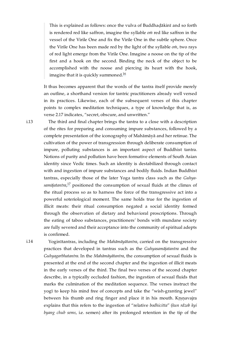This is explained as follows: once the vulva of Buddhaḍākinī and so forth is rendered red like saffron, imagine the syllable *oṁ* red like saffron in the vessel of the Virile One and fix the Virile One in the subtle sphere. Once the Virile One has been made red by the light of the syllable *oṁ*, two rays of red light emerge from the Virile One. Imagine a noose on the tip of the first and a hook on the second. Binding the neck of the object to be accomplished with the noose and piercing its heart with the hook, imagine that it is quickly summoned.<sup>[16](#page-29-7)</sup>

<span id="page-12-2"></span>It thus becomes apparent that the words of the tantra itself provide merely an outline, a shorthand version for tantric practitioners already well versed in its practices. Likewise, each of the subsequent verses of this chapter points to complex meditation techniques, a type of knowledge that is, as verse 2.17 indicates, "secret, obscure, and unwritten."

<span id="page-12-0"></span>The third and final chapter brings the tantra to a close with a description of the rites for preparing and consuming impure substances, followed by a complete presentation of the iconography of Mahāmāyā and her retinue. The cultivation of the power of transgression through deliberate consumption of impure, polluting substances is an important aspect of Buddhist tantra. Notions of purity and pollution have been formative elements of South Asian identity since Vedic times. Such an identity is destabilized through contact with and ingestion of impure substances and bodily fluids. Indian Buddhist tantras, especially those of the later Yoga tantra class such as the *Guhya-*samājatantra,<sup>[17](#page-29-8)</sup> positioned the consumption of sexual fluids at the climax of the ritual process so as to harness the force of the transgressive act into a powerful soteriological moment. The same holds true for the ingestion of illicit meats: their ritual consumption negated a social identity formed through the observation of dietary and behavioral proscriptions. Through the eating of taboo substances, practitioners' bonds with mundane society are fully severed and their acceptance into the community of spiritual adepts is confirmed.

<span id="page-12-1"></span>[i.14](#page-12-1)

<span id="page-12-3"></span>Yoginītantras, including the *Mahāmāyātantra*, carried on the transgressive practices that developed in tantras such as the *Guhyasamājatantra* and the *Guhyagarbhatantra*. In the *Mahāmāyātantra*, the consumption of sexual fluids is presented at the end of the second chapter and the ingestion of illicit meats in the early verses of the third. The final two verses of the second chapter describe, in a typically occluded fashion, the ingestion of sexual fluids that marks the culmination of the meditation sequence. The verses instruct the yogī to keep his mind free of concepts and take the "wish-granting jewel" between his thumb and ring finger and place it in his mouth. Kṛṣṇavajra explains that this refers to the ingestion of "relative *bodhicitta*" (*kun rdzob kyi byang chub sems*, i.e. semen) after its prolonged retention in the tip of the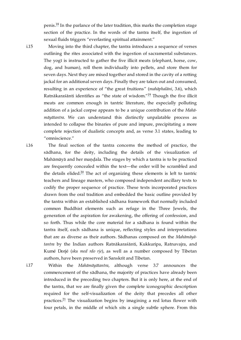<span id="page-13-3"></span>penis.<sup>[18](#page-30-0)</sup> In the parlance of the later tradition*,* this marks the completion stage section of the practice. In the words of the tantra itself, the ingestion of sexual fluids triggers "everlasting spiritual attainment."

<span id="page-13-0"></span>[i.15](#page-13-0)

<span id="page-13-4"></span>Moving into the third chapter, the tantra introduces a sequence of verses outlining the rites associated with the ingestion of sacramental substances. The yogī is instructed to gather the five illicit meats (elephant, horse, cow, dog, and human), roll them individually into pellets, and store them for seven days. Next they are mixed together and stored in the cavity of a rotting jackal for an additional seven days. Finally they are taken out and consumed, resulting in an experience of "the great fruitions" (*mahāphalāni*, 3.6), which Ratnākaraśānti identifies as "the state of wisdom." $^{19}$  $^{19}$  $^{19}$  Though the five illicit meats are common enough in tantric literature, the especially polluting addition of a jackal corpse appears to be a unique contribution of the *Mahāmāyātantra*. We can understand this distinctly unpalatable process as intended to collapse the binaries of pure and impure, precipitating a more complete rejection of dualistic concepts and, as verse 3.1 states, leading to "omniscience."

<span id="page-13-1"></span>[i.16](#page-13-1)

<span id="page-13-5"></span>The final section of the tantra concerns the method of practice, the sādhana, for the deity, including the details of the visualization of Mahāmāyā and her mandala. The stages by which a tantra is to be practiced are frequently concealed within the text—the order will be scrambled and the details elided. $20$  The act of organizing these elements is left to tantric teachers and lineage masters, who composed independent ancillary texts to codify the proper sequence of practice. These texts incorporated practices drawn from the oral tradition and embedded the basic outline provided by the tantra within an established sādhana framework that normally included common Buddhist elements such as refuge in the Three Jewels, the generation of the aspiration for awakening, the offering of confession, and so forth. Thus while the core material for a sādhana is found within the tantra itself, each sādhana is unique, reflecting styles and interpretations that are as diverse as their authors. Sādhanas composed on the *Mahāmāyātantra* by the Indian authors Ratnākaraśānti, Kukkuripa, Ratnavajra, and Kumé Dorjé (*sku med rdo rje*), as well as a number composed by Tibetan authors, have been preserved in Sanskrit and Tibetan.

<span id="page-13-2"></span>[i.17](#page-13-2)

<span id="page-13-6"></span>Within the *Mahāmāyātantra*, although verse 3.7 announces the commencement of the sādhana, the majority of practices have already been introduced in the preceding two chapters. But it is only here, at the end of the tantra, that we are finally given the complete iconographic description required for the self-visualization of the deity that precedes all other practices. $^{21}$  $^{21}$  $^{21}$  The visualization begins by imagining a red lotus flower with four petals, in the middle of which sits a single subtle sphere. From this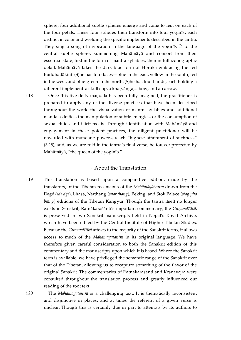<span id="page-14-4"></span>sphere, four additional subtle spheres emerge and come to rest on each of the four petals. These four spheres then transform into four yoginīs, each distinct in color and wielding the specific implements described in the tantra. They sing a song of invocation in the language of the yoginis  $22$  to the central subtle sphere, summoning Mahāmāyā and consort from their essential state, first in the form of mantra syllables, then in full iconographic detail. Mahāmāyā takes the dark blue form of Heruka embracing the red Buddhaḍākinī. (S)he has four faces—blue in the east, yellow in the south, red in the west, and blue-green in the north. (S)he has four hands, each holding a different implement: a skull cup, a khaṭvāṅga, a bow, and an arrow.

<span id="page-14-1"></span>[i.18](#page-14-1)

Once this five-deity mandala has been fully imagined, the practitioner is prepared to apply any of the diverse practices that have been described throughout the work: the visualization of mantra syllables and additional maṇḍala deities, the manipulation of subtle energies, or the consumption of sexual fluids and illicit meats. Through identification with Mahāmāyā and engagement in these potent practices, the diligent practitioner will be rewarded with mundane powers, reach "highest attainment of suchness" (3.25), and, as we are told in the tantra's final verse, be forever protected by Mahāmāyā, "the queen of the yoginīs."

### · About the Translation ·

<span id="page-14-2"></span><span id="page-14-0"></span>This translation is based upon a comparative edition, made by the translators, of the Tibetan recensions of the *Mahāmāyātantra* drawn from the Degé (*sde dge*), Lhasa, Narthang (*snar thang*), Peking, and Stok Palace (*stog pho brang*) editions of the Tibetan Kangyur. Though the tantra itself no longer exists in Sanskrit, Ratnākaraśānti's important commentary, the *Guṇavatīṭīkā*, is preserved in two Sanskrit manuscripts held in Nepal's Royal Archive, which have been edited by the Central Institute of Higher Tibetan Studies. Because the *Guṇavatīṭīkā* attests to the majority of the Sanskrit terms, it allows access to much of the *Mahāmāyātantra* in its original language. We have therefore given careful consideration to both the Sanskrit edition of this commentary and the manuscripts upon which it is based. Where the Sanskrit term is available, we have privileged the semantic range of the Sanskrit over that of the Tibetan, allowing us to recapture something of the flavor of the original Sanskrit. The commentaries of Ratnākaraśānti and Kṛṣṇavajra were consulted throughout the translation process and greatly influenced our reading of the root text. [i.19](#page-14-2)

<span id="page-14-3"></span>[i.20](#page-14-3)

The *Mahāmāyātantra* is a challenging text. It is thematically inconsistent and disjunctive in places, and at times the referent of a given verse is unclear. Though this is certainly due in part to attempts by its authors to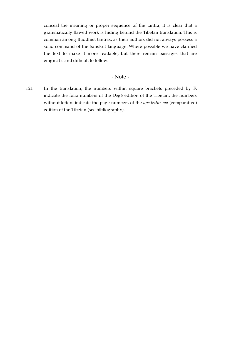conceal the meaning or proper sequence of the tantra, it is clear that a grammatically flawed work is hiding behind the Tibetan translation. This is common among Buddhist tantras, as their authors did not always possess a solid command of the Sanskrit language. Where possible we have clarified the text to make it more readable, but there remain passages that are enigmatic and difficult to follow.

### · Note ·

<span id="page-15-1"></span><span id="page-15-0"></span>In the translation, the numbers within square brackets preceded by F. indicate the folio numbers of the Degé edition of the Tibetan; the numbers without letters indicate the page numbers of the *dpe bsdur ma* (comparative) edition of the Tibetan (see bibliography). [i.21](#page-15-1)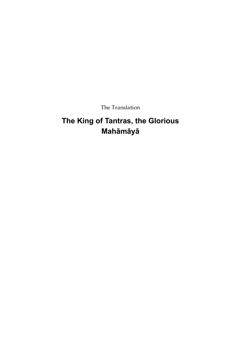The Translation

# <span id="page-16-0"></span>**The King of Tantras, the Glorious Mahāmāyā**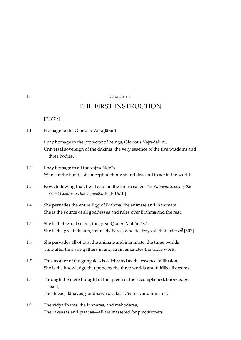<span id="page-17-4"></span><span id="page-17-3"></span><span id="page-17-2"></span><span id="page-17-1"></span>

|     | THE FIRST INSTRUCTION                                                                                                                                           |
|-----|-----------------------------------------------------------------------------------------------------------------------------------------------------------------|
|     | $[F.167.a]$                                                                                                                                                     |
| 1.1 | Homage to the Glorious Vajradākinī!                                                                                                                             |
|     | I pay homage to the protector of beings, Glorious Vajradākinī,<br>Universal sovereign of the dākinīs, the very essence of the five wisdoms and<br>three bodies. |
| 1.2 | I pay homage to all the vajradākinīs                                                                                                                            |
|     | Who cut the bonds of conceptual thought and descend to act in the world.                                                                                        |
| 1.3 | Now, following that, I will explain the tantra called The Supreme Secret of the<br>Secret Goddesses, the Vajradākinīs. [F.167.b]                                |
| 1.4 | She pervades the entire Egg of Brahmā, the animate and inanimate.<br>She is the source of all goddesses and rules over Brahmā and the rest.                     |
| 1.5 | She is their great secret, the great Queen Mahāmāyā.<br>She is the great illusion, intensely fierce, who destroys all that exists. <sup>23</sup> [507]          |
| 1.6 | She pervades all of this: the animate and inanimate, the three worlds.<br>Time after time she gathers in and again emanates the triple world.                   |
| 1.7 | This mother of the guhyakas is celebrated as the essence of illusion.<br>She is the knowledge that perfects the three worlds and fulfills all desires.          |
| 1.8 | Through the mere thought of the queen of the accomplished, knowledge<br>itself,                                                                                 |
|     | The devas, dānavas, gandharvas, yakṣas, āsuras, and humans,                                                                                                     |
| 1.9 | The vidyādharas, the kinnaras, and mahodaras,                                                                                                                   |

<span id="page-17-9"></span><span id="page-17-8"></span><span id="page-17-7"></span><span id="page-17-6"></span><span id="page-17-5"></span>The rākṣasas and piśācas—all are mastered for practitioners.

<span id="page-17-10"></span>Chapter 1

<span id="page-17-0"></span>[1.](#page-17-0)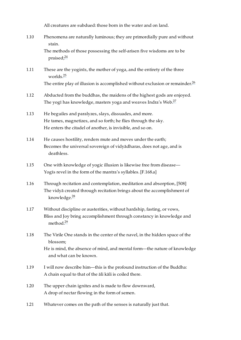<span id="page-18-15"></span><span id="page-18-14"></span><span id="page-18-13"></span><span id="page-18-12"></span>All creatures are subdued: those born in the water and on land.

<span id="page-18-17"></span><span id="page-18-16"></span><span id="page-18-11"></span><span id="page-18-10"></span><span id="page-18-9"></span><span id="page-18-8"></span><span id="page-18-7"></span><span id="page-18-6"></span><span id="page-18-5"></span><span id="page-18-4"></span><span id="page-18-3"></span><span id="page-18-2"></span><span id="page-18-1"></span><span id="page-18-0"></span>Phenomena are naturally luminous; they are primordially pure and without stain. The methods of those possessing the self-arisen five wisdoms are to be praised; [24](#page-30-6) These are the yoginīs, the mother of yoga, and the entirety of the three worlds. [25](#page-30-7) The entire play of illusion is accomplished without exclusion or remainder.<sup>[26](#page-30-8)</sup> Abducted from the buddhas, the maidens of the highest gods are enjoyed. The yogī has knowledge, masters yoga and weaves Indra's Web. $^{27}$  $^{27}$  $^{27}$ He beguiles and paralyzes, slays, dissuades, and more. He tames, magnetizes, and so forth; he flies through the sky. He enters the citadel of another, is invisible, and so on. He causes hostility, renders mute and moves under the earth; Becomes the universal sovereign of vidyādharas, does not age, and is deathless. One with knowledge of yogic illusion is likewise free from disease— Yogīs revel in the form of the mantra's syllables. [\[F.168.a\]](https://translator:gzungs@read.84000-translate.org/source/toh425.html?ref-index=3#ajax-source) Through recitation and contemplation, meditation and absorption, [508] The vidyā created through recitation brings about the accomplishment of knowledge. [28](#page-31-0) Without discipline or austerities, without hardship, fasting, or vows, Bliss and Joy bring accomplishment through constancy in knowledge and method.<sup>[29](#page-31-1)</sup> The Virile One stands in the center of the navel, in the hidden space of the blossom; He is mind, the absence of mind, and mental form—the nature of knowledge and what can be known. I will now describe him—this is the profound instruction of the Buddha: A chain equal to that of the āli kāli is coiled there. The upper chain ignites and is made to flow downward, A drop of nectar flowing in the form of semen. Whatever comes on the path of the senses is naturally just that. [1.10](#page-18-0) [1.11](#page-18-1) [1.12](#page-18-2) [1.13](#page-18-3) [1.14](#page-18-4) [1.15](#page-18-5) [1.16](#page-18-6) [1.17](#page-18-7) [1.18](#page-18-8) [1.19](#page-18-9) [1.20](#page-18-10) [1.21](#page-18-11)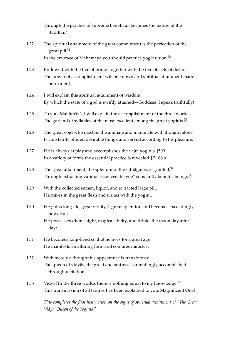<span id="page-19-14"></span><span id="page-19-13"></span><span id="page-19-12"></span>Through the practice of supreme benefit all becomes the nature of the Buddha.<sup>[30](#page-31-2)</sup>

- <span id="page-19-0"></span>The spiritual attainment of the great commitment is the perfection of the great pill.<sup>[31](#page-31-3)</sup> In the embrace of Mahāmāyā you should practice yogic union. [32](#page-31-4) [1.22](#page-19-0)
- <span id="page-19-1"></span>Endowed with the five offerings together with the five objects of desire, The power of accomplishment will be known and spiritual attainment made permanent. [1.23](#page-19-1)
- <span id="page-19-2"></span>I will explain this spiritual attainment of wisdom, By which the state of a god is swiftly attained—Goddess, I speak truthfully! [1.24](#page-19-2)
- <span id="page-19-15"></span><span id="page-19-3"></span>To you, Mahāmāyā, I will explain the accomplishment of the three worlds, The garland of syllables of the most excellent among the great yoginīs. $\frac{33}{2}$  $\frac{33}{2}$  $\frac{33}{2}$ [1.25](#page-19-3)
- <span id="page-19-4"></span>The great yogī who masters the animate and inanimate with thought alone Is constantly offered desirable things and served according to his pleasure. [1.26](#page-19-4)
- <span id="page-19-5"></span>He is always at play and accomplishes the vajra yoginīs. [509] In a variety of forms the essential practice is revealed. [\[F.168.b\]](https://translator:gzungs@read.84000-translate.org/source/toh425.html?ref-index=4#ajax-source) [1.27](#page-19-5)
- <span id="page-19-17"></span><span id="page-19-16"></span><span id="page-19-6"></span>The great attainment, the splendor of the tathāgatas, is granted; $^{34}$  $^{34}$  $^{34}$ Through extracting various essences the yogī constantly benefits beings.<sup>[35](#page-32-0)</sup> [1.28](#page-19-6)
- <span id="page-19-7"></span>With the collected semen, liquor, and extracted large pill, He mixes in the great flesh and unites with the yoginī. [1.29](#page-19-7)
- <span id="page-19-18"></span><span id="page-19-8"></span>He gains long life, great virility, $\frac{36}{2}$  $\frac{36}{2}$  $\frac{36}{2}$  great splendor, and becomes exceedingly powerful; He possesses divine sight, magical ability, and drinks the moon day after day; [1.30](#page-19-8)
- <span id="page-19-9"></span>He becomes long-lived so that he lives for a great age; He manifests an alluring form and conjures miracles; [1.31](#page-19-9)
- <span id="page-19-10"></span>With merely a thought his appearance is transformed— The queen of vidyās, the great enchantress, is unfailingly accomplished through recitation. [1.32](#page-19-10)
- <span id="page-19-11"></span>Vidyā! In the three worlds there is nothing equal to my knowledge. $\frac{37}{2}$  $\frac{37}{2}$  $\frac{37}{2}$ This transmission of all tantras has been explained to you, Magnificent One! [1.33](#page-19-11)

<span id="page-19-19"></span>*This completes the first instruction on the signs of spiritual attainment of "The Great Vidyā, Queen of the Yoginīs."*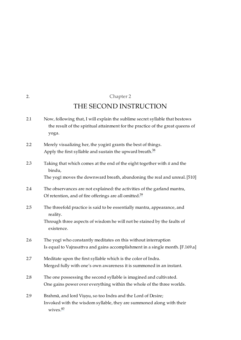## <span id="page-20-11"></span><span id="page-20-10"></span>Chapter 2

<span id="page-20-0"></span>[2.](#page-20-0)

## THE SECOND INSTRUCTION

<span id="page-20-5"></span><span id="page-20-4"></span><span id="page-20-3"></span><span id="page-20-2"></span><span id="page-20-1"></span>

| 2.1 | Now, following that, I will explain the sublime secret syllable that bestows<br>the result of the spiritual attainment for the practice of the great queens of<br>yoga. |
|-----|-------------------------------------------------------------------------------------------------------------------------------------------------------------------------|
| 2.2 | Merely visualizing her, the yoginī grants the best of things.<br>Apply the first syllable and sustain the upward breath. <sup>38</sup>                                  |
| 2.3 | Taking that which comes at the end of the eight together with $\bar{u}$ and the<br>bindu,                                                                               |
|     | The yogī moves the downward breath, abandoning the real and unreal. [510]                                                                                               |
| 2.4 | The observances are not explained: the activities of the garland mantra,<br>Of retention, and of fire offerings are all omitted. <sup>39</sup>                          |
| 2.5 | The threefold practice is said to be essentially mantra, appearance, and<br>reality.                                                                                    |
|     | Through three aspects of wisdom he will not be stained by the faults of<br>existence.                                                                                   |
| 2.6 | The yogī who constantly meditates on this without interruption<br>Is equal to Vajrasattva and gains accomplishment in a single month. [F.169.a]                         |
| 2.7 | Meditate upon the first syllable which is the color of Indra.<br>Merged fully with one's own awareness it is summoned in an instant.                                    |
| 2.8 | The one possessing the second syllable is imagined and cultivated.<br>One gains power over everything within the whole of the three worlds.                             |
|     |                                                                                                                                                                         |

<span id="page-20-12"></span><span id="page-20-9"></span><span id="page-20-8"></span><span id="page-20-7"></span><span id="page-20-6"></span>Brahmā, and lord Viṣṇu, so too Indra and the Lord of Desire; Invoked with the wisdom syllable, they are summoned along with their wives. [40](#page-32-5) [2.9](#page-20-9)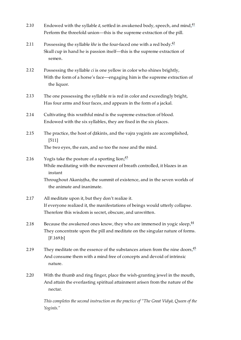- <span id="page-21-11"></span><span id="page-21-0"></span>Endowed with the syllable  $\bar{a}$ , settled in awakened body, speech, and mind, $^{41}$  $^{41}$  $^{41}$ Perform the threefold union—this is the supreme extraction of the pill. [2.10](#page-21-0)
- <span id="page-21-12"></span><span id="page-21-1"></span>Possessing the syllable *khe* is the four-faced one with a red body. [42](#page-32-7) Skull cup in hand he is passion itself—this is the supreme extraction of semen. [2.11](#page-21-1)
- <span id="page-21-2"></span>Possessing the syllable *ci* is one yellow in color who shines brightly, With the form of a horse's face—engaging him is the supreme extraction of the liquor. [2.12](#page-21-2)
- <span id="page-21-3"></span>The one possessing the syllable *ra* is red in color and exceedingly bright, Has four arms and four faces, and appears in the form of a jackal. [2.13](#page-21-3)
- <span id="page-21-4"></span>Cultivating this wrathful mind is the supreme extraction of blood. Endowed with the six syllables, they are fixed in the six places. [2.14](#page-21-4)
- <span id="page-21-5"></span>The practice, the host of ḍākinīs, and the vajra yoginīs are accomplished, [511] The two eyes, the ears, and so too the nose and the mind. [2.15](#page-21-5)
- <span id="page-21-6"></span>Yogīs take the posture of a sporting lion; $\frac{43}{7}$  $\frac{43}{7}$  $\frac{43}{7}$ While meditating with the movement of breath controlled, it blazes in an instant Throughout Akaniṣṭha, the summit of existence, and in the seven worlds of [2.16](#page-21-6)

<span id="page-21-14"></span><span id="page-21-13"></span>the animate and inanimate.

- <span id="page-21-7"></span>All meditate upon it, but they don't realize it. If everyone realized it, the manifestations of beings would utterly collapse. Therefore this wisdom is secret, obscure, and unwritten. [2.17](#page-21-7)
- <span id="page-21-8"></span>Because the awakened ones know, they who are immersed in yogic sleep,  $\frac{44}{1}$  $\frac{44}{1}$  $\frac{44}{1}$ They concentrate upon the pill and meditate on the singular nature of forms. [\[F.169.b\]](https://translator:gzungs@read.84000-translate.org/source/toh425.html?ref-index=6#ajax-source) [2.18](#page-21-8)
- <span id="page-21-9"></span>They meditate on the essence of the substances arisen from the nine doors,  $45$ And consume them with a mind free of concepts and devoid of intrinsic nature. [2.19](#page-21-9)
- <span id="page-21-10"></span>With the thumb and ring finger, place the wish-granting jewel in the mouth, And attain the everlasting spiritual attainment arisen from the nature of the nectar. [2.20](#page-21-10)

<span id="page-21-15"></span>*This completes the second instruction on the practice of "The Great Vidyā, Queen of the Yoginīs."*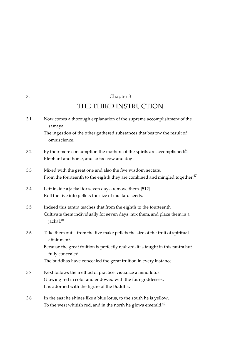## <span id="page-22-10"></span><span id="page-22-9"></span>Chapter 3

## THE THIRD INSTRUCTION

<span id="page-22-5"></span><span id="page-22-4"></span><span id="page-22-3"></span><span id="page-22-2"></span><span id="page-22-1"></span>

| 3.1 | Now comes a thorough explanation of the supreme accomplishment of the<br>samaya:                                                                                                                                                                                       |
|-----|------------------------------------------------------------------------------------------------------------------------------------------------------------------------------------------------------------------------------------------------------------------------|
|     | The ingestion of the other gathered substances that bestow the result of<br>omniscience.                                                                                                                                                                               |
| 3.2 | By their mere consumption the mothers of the spirits are accomplished. $46$<br>Elephant and horse, and so too cow and dog.                                                                                                                                             |
| 3.3 | Mixed with the great one and also the five wisdom nectars,<br>From the fourteenth to the eighth they are combined and mingled together. <sup>47</sup>                                                                                                                  |
| 3.4 | Left inside a jackal for seven days, remove them. [512]<br>Roll the five into pellets the size of mustard seeds.                                                                                                                                                       |
| 3.5 | Indeed this tantra teaches that from the eighth to the fourteenth<br>Cultivate them individually for seven days, mix them, and place them in a<br>jackal. <sup>48</sup>                                                                                                |
| 3.6 | Take them out—from the five make pellets the size of the fruit of spiritual<br>attainment.<br>Because the great fruition is perfectly realized, it is taught in this tantra but<br>fully concealed<br>The buddhas have concealed the great fruition in every instance. |
| 3.7 | Next follows the method of practice: visualize a mind lotus<br>Glowing red in color and endowed with the four goddesses.<br>It is adorned with the figure of the Buddha.                                                                                               |
| 3.8 | In the east he shines like a blue lotus, to the south he is yellow,                                                                                                                                                                                                    |

<span id="page-22-12"></span><span id="page-22-11"></span><span id="page-22-8"></span><span id="page-22-7"></span><span id="page-22-6"></span>To the west whitish red, and in the north he glows emerald. $^{49}$  $^{49}$  $^{49}$ 

<span id="page-22-0"></span>[3.](#page-22-0)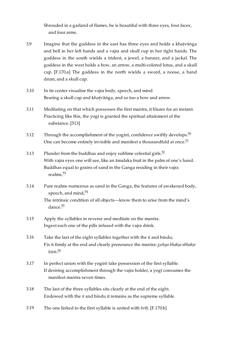Shrouded in a garland of flames, he is beautiful with three eyes, four faces, and four arms.

- <span id="page-23-0"></span>Imagine that the goddess in the east has three eyes and holds a khaṭvāṅga and bell in her left hands and a vajra and skull cup in her right hands. The goddess in the south wields a trident, a jewel, a banner, and a jackal. The goddess in the west holds a bow, an arrow, a multi-colored lotus, and a skull cup. [\[F.170.a\]](https://translator:gzungs@read.84000-translate.org/source/toh425.html?ref-index=7#ajax-source) The goddess in the north wields a sword, a noose, a hand drum, and a skull cup. [3.9](#page-23-0)
- <span id="page-23-1"></span>In its center visualize the vajra body, speech, and mind Bearing a skull cup and khaṭvāṅga, and so too a bow and arrow. [3.10](#page-23-1)
- <span id="page-23-2"></span>Meditating on that which possesses the first mantra, it blazes for an instant. Practicing like this, the yogī is granted the spiritual attainment of the substance. [513] [3.11](#page-23-2)
- <span id="page-23-3"></span>Through the accomplishment of the yoginī, confidence swiftly develops. $^{50}$  $^{50}$  $^{50}$ One can become entirely invisible and manifest a thousandfold at once. $51$ [3.12](#page-23-3)
- <span id="page-23-4"></span>Plunder from the buddhas and enjoy sublime celestial girls. $^{52}$  $^{52}$  $^{52}$ With vajra eyes one will see, like an āmalaka fruit in the palm of one's hand. Buddhas equal to grains of sand in the Ganga residing in their vajra realms, [53](#page-33-9) [3.13](#page-23-4)
- <span id="page-23-5"></span>Pure realms numerous as sand in the Ganga, the features of awakened body, speech, and mind, $^{54}$  $^{54}$  $^{54}$ [3.14](#page-23-5)

<span id="page-23-16"></span><span id="page-23-15"></span><span id="page-23-14"></span><span id="page-23-13"></span><span id="page-23-12"></span><span id="page-23-11"></span>The intrinsic condition of all objects—know them to arise from the mind's dance.<sup>[55](#page-33-11)</sup>

- <span id="page-23-6"></span>Apply the syllables in reverse and meditate on the mantra. Ingest each one of the pills infused with the vajra drink. [3.15](#page-23-6)
- <span id="page-23-7"></span>Take the last of the eight syllables together with the *ū* and bindu; Fix it firmly at the end and clearly pronounce the mantra: *guhya bhakṣa abhakṣe hūṁ*. [56](#page-34-0) [3.16](#page-23-7)
- <span id="page-23-17"></span><span id="page-23-8"></span>In perfect union with the yoginī take possession of the first syllable. If desiring accomplishment through the vajra holder, a yogī consumes the manifest mantra seven times. [3.17](#page-23-8)
- <span id="page-23-9"></span>The last of the three syllables sits clearly at the end of the eight. Endowed with the *ū* and bindu it remains as the supreme syllable. [3.18](#page-23-9)
- <span id="page-23-10"></span>The one linked to the first syllable is united with *hrīḥ*. [\[F.170.b\]](https://translator:gzungs@read.84000-translate.org/source/toh425.html?ref-index=8#ajax-source) [3.19](#page-23-10)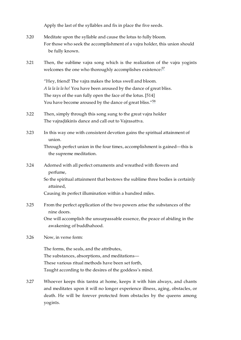Apply the last of the syllables and fix in place the five seeds.

- <span id="page-24-0"></span>Meditate upon the syllable and cause the lotus to fully bloom. For those who seek the accomplishment of a vajra holder, this union should be fully known. [3.20](#page-24-0)
- <span id="page-24-1"></span>Then, the sublime vajra song which is the realization of the vajra yoginīs welcomes the one who thoroughly accomplishes existence.<sup>[57](#page-34-1)</sup> [3.21](#page-24-1)

<span id="page-24-10"></span><span id="page-24-9"></span>"Hey, friend! The vajra makes the lotus swell and bloom. *A la la la la ho!* You have been aroused by the dance of great bliss. The rays of the sun fully open the face of the lotus. [514] You have become aroused by the dance of great bliss."<sup>[58](#page-34-2)</sup>

- <span id="page-24-2"></span>Then, simply through this song sung to the great vajra holder The vajraḍākinīs dance and call out to Vajrasattva. [3.22](#page-24-2)
- <span id="page-24-3"></span>In this way one with consistent devotion gains the spiritual attainment of union. [3.23](#page-24-3)

Through perfect union in the four times, accomplishment is gained—this is the supreme meditation.

<span id="page-24-4"></span>Adorned with all perfect ornaments and wreathed with flowers and perfume, [3.24](#page-24-4)

> So the spiritual attainment that bestows the sublime three bodies is certainly attained,

Causing its perfect illumination within a hundred miles.

<span id="page-24-5"></span>From the perfect application of the two powers arise the substances of the nine doors. [3.25](#page-24-5)

> One will accomplish the unsurpassable essence, the peace of abiding in the awakening of buddhahood.

<span id="page-24-6"></span>Now, in verse form: [3.26](#page-24-6)

> The forms, the seals, and the attributes, The substances, absorptions, and meditations— These various ritual methods have been set forth, Taught according to the desires of the goddess's mind.

<span id="page-24-8"></span><span id="page-24-7"></span>Whoever keeps this tantra at home, keeps it with him always, and chants and meditates upon it will no longer experience illness, aging, obstacles, or death. He will be forever protected from obstacles by the queens among yoginīs. [3.27](#page-24-7)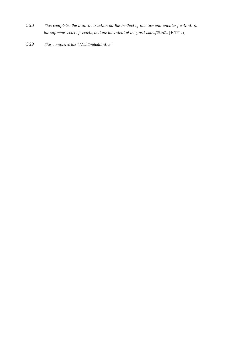- *This completes the third instruction on the method of practice and ancillary activities, the supreme secret of secrets, that are the intent of the great vajraḍākinīs.* [\[F.171.a\]](https://translator:gzungs@read.84000-translate.org/source/toh425.html?ref-index=9#ajax-source) [3.28](#page-24-8)
- <span id="page-25-0"></span>*This completes the "Mahāmāyātantra."* [3.29](#page-25-0)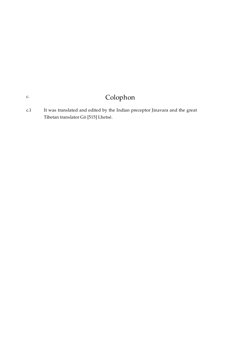# Colophon

<span id="page-26-1"></span>It was translated and edited by the Indian preceptor Jinavara and the great Tibetan translator Gö [515] Lhetsé. [c.1](#page-26-1)

<span id="page-26-0"></span>[c.](#page-26-0)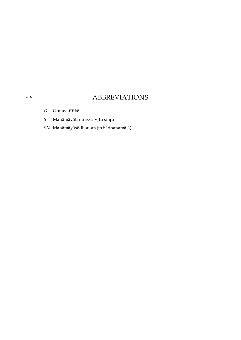## ABBREVIATIONS

- *G* Guṇavatīṭīkā
- *S* Mahāmāyātantrasya vṛtti smṛti
- *SM* Mahāmāyāsādhanam (in Sādhanamālā)

<span id="page-27-0"></span>[ab.](#page-27-0)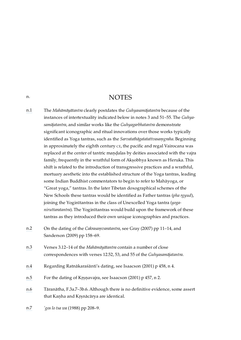## **NOTES**

- <span id="page-28-1"></span>[n.1](#page-7-3) The *Mahāmāyātantra* clearly postdates the *Guhyasamājatantra* because of the instances of intertextuality indicated below in notes 3 and 51–55. The *Guhyasamājatantra*, and similar works like the *Guhyagarbhatantra* demonstrate significant iconographic and ritual innovations over those works typically identified as Yoga tantras, such as the *Sarvatathāgatatattvasaṃgraha*. Beginning in approximately the eighth century CE, the pacific and regal Vairocana was replaced at the center of tantric mandalas by deities associated with the vajra family, frequently in the wrathful form of Akṣobhya known as Heruka. This shift is related to the introduction of transgressive practices and a wrathful, mortuary aesthetic into the established structure of the Yoga tantras, leading some Indian Buddhist commentators to begin to refer to Mahāyoga, or "Great yoga," tantras. In the later Tibetan doxographical schemes of the New Schools these tantras would be identified as Father tantras (*pha rgyud*), joining the Yoginītantras in the class of Unexcelled Yoga tantra (*yoganiruttaratantra*). The Yoginītantras would build upon the framework of these tantras as they introduced their own unique iconographies and practices.
- <span id="page-28-2"></span>[n.2](#page-8-3) On the dating of the *Cakrasaṃvaratantra*, see Gray (2007) pp 11–14, and Sanderson (2009) pp 158–69.
- <span id="page-28-3"></span>[n.3](#page-8-4) Verses 3.12–14 of the *Mahāmāyātantra* contain a number of close correspondences with verses 12.52, 53, and 55 of the *Guhyasamājatantra*.
- <span id="page-28-4"></span>[n.4](#page-8-5) Regarding Ratnākaraśānti's dating, see Isaacson (2001) p 458, n 4.
- <span id="page-28-5"></span>[n.5](#page-8-6) For the dating of Krsnavajra, see Isaacson (2001) p 457, n 2.
- <span id="page-28-6"></span>[n.6](#page-8-7) Tāranātha, F.3a.7–3b.6. Although there is no definitive evidence, some assert that Kaṇha and Kṛṣnācārya are identical.
- <span id="page-28-8"></span><span id="page-28-7"></span>[n.7](#page-8-8) *'gos lo tsa wa* (1988) pp 208–9.

<span id="page-28-0"></span>[n.](#page-28-0)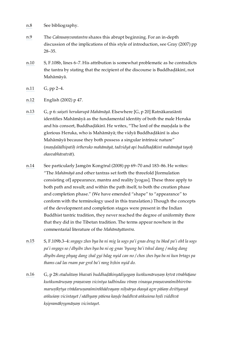- [n.8](#page-8-9) See [bibliography](#page-35-0).
- <span id="page-29-0"></span>[n.9](#page-9-3) The *Cakrasaṃvaratantra* shares this abrupt beginning. For an in-depth discussion of the implications of this style of introduction, see Gray (2007) pp 28–35.
- <span id="page-29-1"></span>[n.10](#page-9-4) S, F.108b, lines 6–7. His attribution is somewhat problematic as he contradicts the tantra by stating that the recipient of the discourse is Buddhaḍākinī, not Mahāmāyā.
- <span id="page-29-2"></span>[n.11](#page-9-5) G, pp 2–4.
- <span id="page-29-3"></span>[n.12](#page-10-3) English (2002) p 47.
- <span id="page-29-4"></span>[n.13](#page-10-4) G, p 6:*saiṣeti herukarupā Mahāmāyā*. Elsewhere [G, p 20] Ratnākaraśānti identifies Mahāmāyā as the fundamental identity of both the male Heruka and his consort, Buddhadākinī. He writes, "The lord of the mandala is the glorious Heruka, who is Mahāmāyā; the vidyā Buddhaḍākinī is also Mahāmāyā because they both possess a singular intrinsic nature" (*maṇḍalādhipatiḥ śrīheruko mahāmāyā, tadvidyā api buddhaḍākinī mahāmāyā tayoḥ ekasvabhāvatvāt*).
- <span id="page-29-5"></span>[n.14](#page-11-2) See particularly Jamgön Kongtrul (2008) pp 69–70 and 183–86. He writes: "The *Mahāmāyā* and other tantras set forth the threefold [formulation consisting of] appearance, mantra and reality [yogas]. These three apply to both path and result; and within the path itself, to both the creation phase and completion phase." (We have emended "shape" to "appearance" to conform with the terminology used in this translation.) Though the concepts of the development and completion stages were present in the Indian Buddhist tantric tradition, they never reached the degree of uniformity there that they did in the Tibetan tradition. The terms appear nowhere in the commentarial literature of the *Mahāmāyātantra*.
- <span id="page-29-6"></span>[n.15](#page-11-3) S, F.109b.3–4:*sngags zhes bya ba ni mig la sogs pa'i gnas drug tu bkod pa'i oM la sogs pa'i sngags so / dbyibs zhes bya ba ni og gnas 'byung ba'i tshul dang / mdog dang dbyibs dang phyag dang zhal gyi bdag nyid can no / chos zhes bya ba ni kun brtags pa thams cad las rnam par grol ba'i rang bzhin nyid do.*
- <span id="page-29-8"></span><span id="page-29-7"></span>[n.16](#page-12-2) G, p 28:*etaduktaṃ bhavati buddhaḍākinyādiyogaṃ kuṅkumāruṇaṃ kṛtvā vīrabhājane kuṅkumāruṇaṃ praṇavaṃ vicintya tadbindau vīraṃ vinasya praṇavaraśmibhirvīramaruṇīkṛtya vīrādaruṇaraśmirekhādvayaṃ niḥsārya ekasyā agre pāśaṃ dvitīyasyā aṅkuśaṃ vicintayet / sādhyaṃ pāśena kaṇḍe baddhvā aṅkuśena hṛdi viddhvā kṣipramākṛṣymāṇaṃ vicintayet.*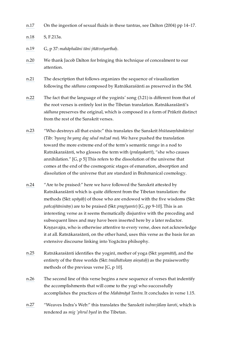[n.17](#page-12-3) On the ingestion of sexual fluids in these tantras, see Dalton (2004) pp 14–17.

<span id="page-30-0"></span>[n.18](#page-13-3) S, F.213a.

- <span id="page-30-1"></span>[n.19](#page-13-4) G, p 37: *mahāphalāni tāni jñātvetyarthaḥ*.
- <span id="page-30-2"></span>[n.20](#page-13-5) We thank Jacob Dalton for bringing this technique of concealment to our attention.
- <span id="page-30-3"></span>[n.21](#page-13-6) The description that follows organizes the sequence of visualization following the *sādhana* composed by Ratnākaraśānti as preserved in the SM.
- <span id="page-30-4"></span>[n.22](#page-14-4) The fact that the language of the yoginīs' song (3.21) is different from that of the root verses is entirely lost in the Tibetan translation. Ratnākaraśānti's *sādhana* preserves the original, which is composed in a form of Prākrit distinct from the rest of the Sanskrit verses.
- <span id="page-30-5"></span>[n.23](#page-17-10) "Who destroys all that exists:" this translates the Sanskrit *bhūtasaṃhārakāriṇī* (Tib: *'byung ba yang dag sdud mdzad ma*). We have pushed the translation toward the more extreme end of the term's semantic range in a nod to Ratnākaraśānti, who glosses the term with (*pralayakartī*), "she who causes annihilation." [G, p 5] This refers to the dissolution of the universe that comes at the end of the cosmogonic stages of emanation, absorption and dissolution of the universe that are standard in Brahmanical cosmology.
- <span id="page-30-6"></span>[n.24](#page-18-12) "Are to be praised:" here we have followed the Sanskrit attested by Ratnākaraśānti which is quite different from the Tibetan translation: the methods (Skt: *upāyāḥ*) of those who are endowed with the five wisdoms (Skt: *pañcajñānināṃ*) are to be praised (Skt: *pragīyante*) [G, pp 9-10]. This is an interesting verse as it seems thematically disjuntive with the preceding and subsequent lines and may have been inserted here by a later redactor. Krṣṇavajra, who is otherwise attentive to every verse, does not acknowledge it at all. Ratnākaraśānti, on the other hand, uses this verse as the basis for an extensive discourse linking into Yogācāra philsophy.
- <span id="page-30-7"></span>[n.25](#page-18-13) Ratnākaraśānti identifies the yoginī, mother of yoga (Skt: *yogamātā*), and the entirety of the three worlds (Skt: *traidhātukaṃ aśeṣataḥ*) as the praiseworthy methods of the previous verse [G, p 10].
- <span id="page-30-8"></span>[n.26](#page-18-14) The second line of this verse begins a new sequence of verses that indentify the accomplishments that will come to the yogī who successfully accomplishes the practices of the *Mahāmāyā Tantra*. It concludes in verse 1.15.
- <span id="page-30-9"></span>[n.27](#page-18-15) "Weaves Indra's Web:" this translates the Sanskrit *indravjālaṃ karoti*, which is rendered as *mig 'phrul byed* in the Tibetan.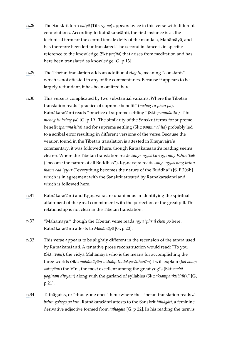- <span id="page-31-0"></span>[n.28](#page-18-16) The Sanskrit term *vidyā* (Tib:*rig pa*) appears twice in this verse with different connotations. According to Ratnākaraśānti, the first instance is as the techinical term for the central female deity of the mandala, Mahāmāyā, and has therefore been left untranslated. The second instance is in specific reference to the knowledge (Skt: *prajñā*) that arises from meditation and has here been translated as knowledge [G, p 13].
- <span id="page-31-1"></span>[n.29](#page-18-17) The Tibetan translation adds an additional *rtag tu*, meaning "constant," which is not attested in any of the commentaries. Because it appears to be largely redundant, it has been omitted here.
- <span id="page-31-2"></span>[n.30](#page-19-12) This verse is complicated by two substantial variants. Where the Tibetan translation reads "practice of supreme benefit" (*mchog tu phan pa*), Ratnākaraśānti reads "practice of supreme settling" (Skt: *paramāhita* / Tib: *mchog tu bzhag pa*) [G, p 19]. The similarity of the Sanskrit terms for supreme benefit (*parama hita*) and for supreme settling (Skt: *parama āhita*) probably led to a scribal error resulting in different versions of the verse. Because the version found in the Tibetan translation is attested in Krsnavajra's commentary, it was followed here, though Ratnākaraśānti's reading seems clearer. Where the Tibetan translation reads *sangs rgyas kun gyi rang bzhin 'bab* ("become the nature of all Buddhas"), Kṛṣṇavajra reads *sangs rgyas rang bzhin thams cad 'gyur* ("everything becomes the nature of the Buddha") [S, F.206b] which is in agreement with the Sanskrit attested by Ratnākaraśānti and which is followed here.
- <span id="page-31-3"></span>[n.31](#page-19-13) Ratnākaraśānti and Kṛṣṇavajra are unanimous in identifying the spiritual attainment of the great commitment with the perfection of the great pill. This relationship is not clear in the Tibetan translation.
- <span id="page-31-4"></span>[n.32](#page-19-14) "Mahāmāyā:" though the Tibetan verse reads *rgyu 'phrul chen po* here, Ratnākaraśānti attests to *Mahāmāyā* [G, p 20].
- <span id="page-31-5"></span>[n.33](#page-19-15) This verse appears to be slightly different in the recension of the tantra used by Ratnākaraśānti. A tentative prose reconstruction would read: "To you (Skt: *tvām*), the vidyā Mahāmāyā who is the means for accomplishing the three worlds (Skt: *mahāmāyāṃ vidyāṃ trailokyasādhanīṃ*) I will explain (*tad ahaṃ vakṣyāmi*) the Vīra, the most excellent among the great yogīs (Skt: *mahāyoginām divyam*) along with the garland of syllables (Skt: *akṣarapaṅktibhiḥ*)." [G, p 21].
- <span id="page-31-6"></span>[n.34](#page-19-16) Tathāgatas, or "thus-gone ones" here: where the Tibetan translation reads *de bzhin gshegs pa kun*, Ratnākaraśānti attests to the Sanskrit *tāthāgātī*, a feminine derivative adjective formed from *tathāgata* [G, p 22]. In his reading the term is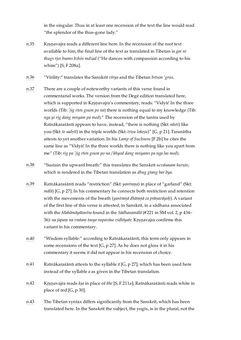in the singular. Thus in at least one recension of the text the line would read "the splendor of the thus-gone lady."

- <span id="page-32-0"></span>[n.35](#page-19-17) Krsnavajra reads a different line here. In the recension of the root text available to him, the final line of the text as translated in Tibetan is *gar ni thugs rjes bsams bzhin mdzad* ("He dances with compassion according to his whim") [S, F.208a].
- <span id="page-32-1"></span>[n.36](#page-19-18) "Virility:" translates the Sanskrit *vīrya* and the Tibetan *brtson 'grus*.
- <span id="page-32-2"></span>[n.37](#page-19-19) There are a couple of noteworthy variants of this verse found in commentarial works. The version from the Degé edition translated here, which is supported in Kṛṣṇavajra's commentary, reads: "Vidyā! In the three worlds (Tib: *'jig rten gsum po na*) there is nothing equal to my knowledge (Tib: *nga yi rig dang mnyam pa med*)." The recension of the tantra used by Ratnākaraśānti appears to have, instead, "there is nothing (Skt: *nāsti*) like you (Skt: *te sadṛśī*) in the triple worlds (Skt: *triṣu lokeṣu*)" [G, p 21]. Taranātha attests to yet another variation. In his *Lamp of Suchness* [F.2b] he cites the same line as "Vidyā! In the three worlds there is nothing like you apart from me" (Tib:*rig pa 'jig rten gsum po na / khyod dang mnyams pa nga las med*).
- <span id="page-32-3"></span>[n.38](#page-20-10) "Sustain the upward breath:" this translates the Sanskrit *ucvāsasam kurute*, which is rendered in the Tibetan translation as *dbug gtang bar bya*.
- <span id="page-32-4"></span>[n.39](#page-20-11) Ratnākaraśānti reads "restriction" (Skt: *yantraṇa*) in place of "garland" (Skt: *mālā*) [G, p 27]. In his commentary he connects both restriction and retention with the movements of the breath (*yantraṇā dhāraṇā ca prāṇavāyoḥ*). A variant of the first line of this verse is attested, in Sanskrit, in a sādhana associated with the *Mahāmāyātantra* found in the *Sādhanamālā* (#221 in SM vol. 2, p 434– 36): *na japaṃ na vrataṃ tasya nopavāso vidhīyate*. Kṛṣṇavajra confirms this variant in his commentary.
- <span id="page-32-5"></span>[n.40](#page-20-12) "Wisdom syllable:" according to Ratnākaraśānti, this term only appears in some recensions of the text [G, p 27]. As he does not gloss it in his commentary it seems it did not appear in his recension of choice.
- <span id="page-32-6"></span>[n.41](#page-21-11) Ratnākaraśānti attests to the syllable *ā* [G, p 27], which has been used here instead of the syllable *a* as given in the Tibetan translation.
- <span id="page-32-7"></span>[n.42](#page-21-12) Kṛṣṇavajra reads *kṣa* in place of *khe* [S, F.211a]; Ratnākaraśānti reads white in place of red [G, p 30].
- <span id="page-32-8"></span>[n.43](#page-21-13) The Tibetan syntax differs significantly from the Sanskrit, which has been translated here. In the Sanskrit the subject, the yogīs, is in the plural, not the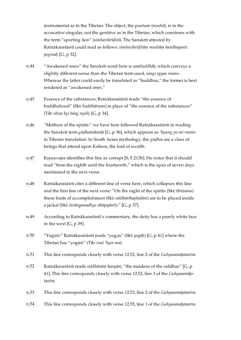instrumental as in the Tibetan. The object, the posture (*mudrā*), is in the accusative singular, not the genitive as in the Tibetan, which construes with the term "sporting lion" (*siṃhavikrīḍitā*). The Sanskrit attested by Ratnākaraśānti could read as follows:*siṃhavikrīḍitāṃ mudrāṃ bandhayanti yoginaḥ* [G, p 32].

- <span id="page-33-0"></span>[n.44](#page-21-14) "Awakened ones:" the Sanskrit word here is *saṃbuddhāḥ*, which conveys a slightly different sense than the Tibetan term used, *sangs rgyas rnams*. Whereas the latter could easily be translated as "buddhas," the former is best rendered as "awakened ones."
- <span id="page-33-1"></span>[n.45](#page-21-15) Essence of the substances: Ratnākaraśānti reads "the essence of buddhahood" (Skt: *buddhātman*) in place of "the essence of the substances" (Tib:*rdzas kyi bdag nyid*). [G, p 34].
- <span id="page-33-2"></span>[n.46](#page-22-9) "Mothers of the spirits:" we have here followed Ratnākaraśānti in reading the Sanskrit term *gūḍhamātaraḥ* [G, p 36], which appears as *'byung po mi rnams* in Tibetan translation. In South Asian mythology, the *gūḍhas* are a class of beings that attend upon Kubera, the lord of wealth.
- <span id="page-33-3"></span>[n.47](#page-22-10) Kṛṣṇavajra identifies this line as corrupt [S, F.213b]. He notes that it should read "from the eighth until the fourteenth," which is the span of seven days mentioned in the next verse.
- <span id="page-33-4"></span>[n.48](#page-22-11) Ratnākaraśānti cites a different line of verse here, which collapses this line and the first line of the next verse: "On the night of the spirits (Skt: *bhūtarau*) these fruits of accomplishment (Skt:*siddhārthaphalāni*) are to be placed inside a jackal (Skt:*śivāṅgamadhye sthāpyānti*)." [G, p 37].
- <span id="page-33-5"></span>[n.49](#page-22-12) According to Ratnākaraśānti's commentary, the deity has a purely white face in the west [G, p 39].
- <span id="page-33-6"></span>[n.50](#page-23-11) "Yoginī:" Ratnākaraśānti reads "yogas" (Skt: *yogāḥ*) [G, p 41] where the Tibetan has "yoginī" (Tib:*rnal 'byor ma*).
- <span id="page-33-7"></span>[n.51](#page-23-12) This line corresponds closely with verse 12.52, line 2 of the *Guhyasamājatantra*.
- <span id="page-33-8"></span>[n.52](#page-23-13) Ratnākaraśānti reads *siddhānāṃ kanyām*, "the maidens of the siddhas" [G, p 41]. This line corresponds closely with verse 12.52, line 3 of the *Guhyasamājatantra*.
- <span id="page-33-9"></span>[n.53](#page-23-14) This line corresponds closely with verse 12.53, line 2 of the *Guhyasamājatantra*.
- <span id="page-33-11"></span><span id="page-33-10"></span>[n.54](#page-23-15) This line corresponds closely with verse 12.55, line 1 of the *Guhyasamājatantra*.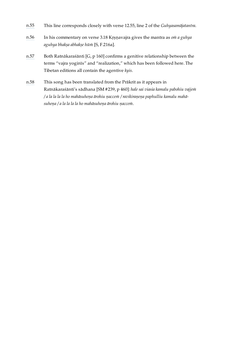- [n.55](#page-23-16) This line corresponds closely with verse 12.55, line 2 of the *Guhyasamājatantra*.
- <span id="page-34-0"></span>[n.56](#page-23-17) In his commentary on verse 3.18 Kṛṣṇavajra gives the mantra as *oṁ a guhya aguhya bhakṣa abhakṣe hūṁ* [S, F.216a].
- <span id="page-34-1"></span>[n.57](#page-24-9) Both Ratnākaraśānti [G, p 160] confirms a genitive relationship between the terms "vajra yoginīs" and "realization," which has been followed here. The Tibetan editions all contain the agentive *kyis*.
- <span id="page-34-2"></span>[n.58](#page-24-10) This song has been translated from the Prākrit as it appears in Ratnākaraśānti's sādhana [SM #239, p 460]: *hale sai viasia kamalu pabohiu vajjeṁ / a la la la la ho mahāsuheṇa ārohiu ṇacceṁ / ravikiraṇeṇa paphulliu kamalu mahāsuheṇa / a la la la la ho mahāsuheṇa ārohiu ṇacceṁ*.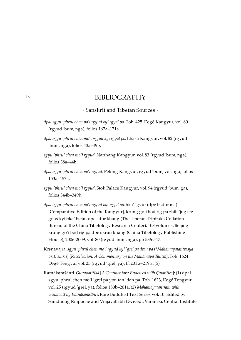### BIBLIOGRAPHY

· Sanskrit and Tibetan Sources ·

- <span id="page-35-1"></span><span id="page-35-0"></span>*dpal sgyu 'phrul chen po'i rgyud kyi rgyal po*. Toh. 425. Degé Kangyur, vol. 80 (rgyud 'bum, nga), folios 167a–171a.
- *dpal sgyu 'phrul chen mo'i rgyud kyi rgyal po*. Lhasa Kangyur, vol. 82 (rgyud 'bum, nga), folios 43a–49b.
- *sgyu 'phrul chen mo'i rgyud*. Narthang Kangyur, vol. 83 (rgyud 'bum, nga), folios 38a–44b.
- *dpal sgyu 'phrul chen po'i rgyud*. Peking Kangyur, rgyud 'bum, vol. nga, folios 153a–157a.
- *sgyu 'phrul chen mo'i rgyud*. Stok Palace Kangyur, vol. 94 (rgyud 'bum, ga), folios 344b–349b.
- *dpal sgyu 'phrul chen po'i rgyud kyi rgyal po*. bka' 'gyur (dpe bsdur ma) [Comparative Edition of the Kangyur], krung go'i bod rig pa zhib 'jug ste gnas kyi bka' bstan dpe sdur khang (The Tibetan Tripitaka Collation Bureau of the China Tibetology Research Center). 108 volumes. Beijing: krung go'i bod rig pa dpe skrun khang (China Tibetology Publishing House), 2006-2009, vol. 80 (rgyud 'bum, nga), pp 536-547.
- Kṛṣṇavajra.*sgyu 'phrul chen mo'i rgyud kyi 'grel pa dran pa* (\**Mahāmāyātantrasya vṛtti smṛti*) [*Recollection: A Commentary on the Mahāmāyā Tantra*]. Toh. 1624, Degé Tengyur vol. 25 (rgyud 'grel, ya), ff. 201.a–219.a. (S)
- Ratnākaraśānti. *Guṇavatīṭīkā* [*A Commentary Endowed with Qualities*]: (1) dpal sgyu 'phrul chen mo'i 'grel pa yon tan ldan pa. Toh. 1623, Degé Tengyur vol. 25 (rgyud 'grel, ya), folios 180b–201a. (2) *Mahāmāyātantram with Guṇavatī by Ratnākaraśānti*. Rare Buddhist Text Series vol. 10. Edited by Samdhong Rinpoche and Vrajavallabh Dwivedi. Varanasi: Central Institute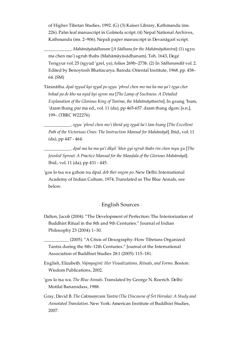of Higher Tibetan Studies, 1992. (G) (3) Kaiser Library, Kathmandu (ms. 226). Palm leaf manuscript in Golmola script. (4) Nepal National Archives, Kathmandu (ms. 2–906). Nepali paper manuscript in Devanāgarī script.

\_\_\_\_\_\_\_\_\_\_\_\_. *Mahāmāyāsādhanam* [*A Sādhana for the Mahāmāyātantra*]: (1) sgyu ma chen mo'i sgrub thabs (Mahāmāyāsādhanam). Toh. 1643, Degé Tengyur vol. 25 (rgyud 'grel, ya), folios 269b–273b. (2) In *Sādhanamālā* vol. 2. Edited by Benoytosh Bhattacarya. Baroda: Oriental Institute, 1968. pp. 458– 64. (SM)

Tāranātha. *dpal rgyud kyi rgyal po sgyu 'phrul chen mo ma ha ma ya'i rgya cher bshad pa de kho na nyid kyi sgron ma* [*The Lamp of Suchness: A Detailed Explanation of the Glorious King of Tantras, the Mahāmāyātantra*]. In gsung 'bum, 'dzam thang par ma ed., vol. 11 (da), pp 465-657. dzam thang dgon: [s.n.], 199-. (TBRC W22276)

\_\_\_\_\_\_\_\_\_\_\_\_.*sgyu 'phrul chen mo'i khrid yig rgyal ba'i lam bzang* [*The Excellent Path of the Victorious Ones: The Instruction Manual for Mahāmāyā*]. Ibid., vol. 11 (da), pp 447 - 464.

\_\_\_\_\_\_\_\_\_\_\_\_. *dpal ma ha ma ya'i dkyil 'khor gyi sgrub thabs rin chen myu gu* [*The Jeweled Sprout: A Practice Manual for the Maṇḍala of the Glorious Mahāmāyā*]. Ibid., vol. 11 (da), pp 431 - 445.

'gos lo tsa wa gzhon nu dpal. *deb ther sngon po*. New Delhi: International Academy of Indian Culture, 1974. Translated as The Blue Annals, see below.

### · English Sources ·

<span id="page-36-0"></span>Dalton, Jacob (2004). "The Development of Perfection: The Interiorization of Buddhist Ritual in the 8th and 9th Centuries." Journal of Indian Philosophy 23 (2004): 1–30.

\_\_\_\_\_\_\_\_\_\_\_ (2005). "A Crisis of Doxography: How Tibetans Organized Tantra during the 8th–12th Centuries." Journal of the International Association of Buddhist Studies 28:1 (2005): 115–181.

- English, Elizabeth. *Vajrayoginī: Her Visualizations, Rituals, and Forms*. Boston: Wisdom Publications, 2002.
- 'gos lo tsa wa. *The Blue Annals*. Translated by George N. Roerich. Delhi: Motilal Banarsidass, 1988.
- Gray, David B. *The Cakrasaṃvara Tantra (The Discourse of Śrī Heruka): A Study and Annotated Translation*. New York: American Institute of Buddhist Studies, 2007.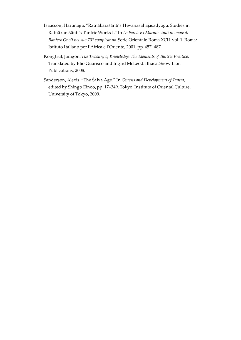- Isaacson, Harunaga. "Ratnākaraśānti's Hevajrasahajasadyoga: Studies in Ratnākaraśānti's Tantric Works I." In *Le Parole e i Marmi: studi in onore di Raniero Gnoli nel suo 70° compleanno*. Serie Orientale Roma XCII. vol. 1. Roma: Istituto Italiano per l'Africa e l'Oriente, 2001, pp. 457–487.
- Kongtrul, Jamgön. *The Treasury of Knowledge: The Elements of Tantric Practice*. Translated by Elio Guarisco and Ingrid McLeod. Ithaca: Snow Lion Publications, 2008.
- Sanderson, Alexis. "The Śaiva Age." In *Genesis and Development of Tantra*, edited by Shingo Einoo, pp. 17–349. Tokyo: Institute of Oriental Culture, University of Tokyo, 2009.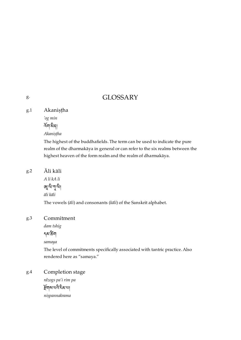## GLOSSARY

<span id="page-38-1"></span>Akaniṣṭha [g.1](#page-38-1)

*'og min*

 $\widetilde{\kappa}$ নাকীৰ্

*Akaniṣṭha*

The highest of the buddhafields. The term can be used to indicate the pure realm of the dharmakāya in general or can refer to the six realms between the highest heaven of the form realm and the realm of dharmakāya.

#### <span id="page-38-2"></span>Āli kāli [g.2](#page-38-2)

*A li kA li*  $\mathbb{Z}$ ันๆ $\mathbb{Z}$ า $\mathbb{Z}$ า $\mathbb{Z}$ *āli kāli*

The vowels (*āli*) and consonants (*kāli*) of the Sanskrit alphabet.

#### <span id="page-38-3"></span>Commitment [g.3](#page-38-3)

*dam tshig*

## དམ་ག

*samaya*

The level of commitments specifically associated with tantric practice. Also rendered here as "samaya."

#### <span id="page-38-4"></span>Completion stage [g.4](#page-38-4)

*rdzogs pa'i rim pa* ৰ্দ্ৰিশৰ মন্ত্ৰী *niṣpannakrama*

<span id="page-38-0"></span>[g.](#page-38-0)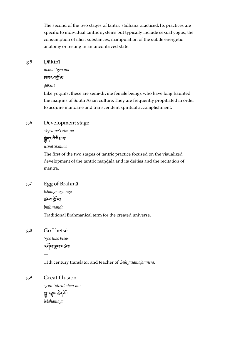The second of the two stages of tantric sādhana practiced. Its practices are specific to individual tantric systems but typically include sexual yogas, the consumption of illicit substances, manipulation of the subtle energetic anatomy or resting in an uncontrived state.

#### <span id="page-39-0"></span>Ḍākinī [g.5](#page-39-0)

*mkha' 'gro ma* མཁའ་འོ་མ། *ḍākinī*

Like yoginīs, these are semi-divine female beings who have long haunted the margins of South Asian culture. They are frequently propitiated in order to acquire mundane and transcendent spiritual accomplishment.

#### <span id="page-39-1"></span>Development stage [g.6](#page-39-1)

*skyed pa'i rim pa* ক্লীনৃত্যবিষ্টি অন্যা *utpattikrama*

The first of the two stages of tantric practice focused on the visualized development of the tantric maṇḍala and its deities and the recitation of mantra.

#### <span id="page-39-2"></span>Egg of Brahmā [g.7](#page-39-2)

*tshangs sgo nga* ক্ৰ্যৰ স্ক্ৰীয়া *brahmāṇḍā* Traditional Brahmanical term for the created universe.

<span id="page-39-3"></span>Gö Lhetsé [g.8](#page-39-3)

*—*

*'gos lhas btsas* འས་ས་བཙས།

11th century translator and teacher of *Guhyasamājatantra*.

<span id="page-39-4"></span>Great Illusion [g.9](#page-39-4)

> *sgyu 'phrul chen mo* য়ৣ৽৻ৼৣ৾৸৻ *Mahāmāyā*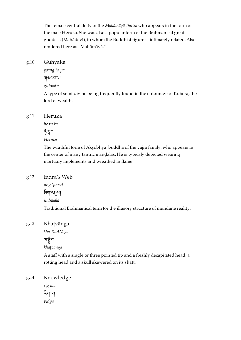The female central deity of the *Mahāmāyā Tantra* who appears in the form of the male Heruka. She was also a popular form of the Brahmanical great goddess (Mahādevī), to whom the Buddhist figure is intimately related. Also rendered here as "Mahāmāyā."

#### <span id="page-40-0"></span>Guhyaka [g.10](#page-40-0)

*gsang ba pa*

གསང་བ་པ།

*guhyaka*

A type of semi-divine being frequently found in the entourage of Kubera, the lord of wealth.

#### <span id="page-40-1"></span>Heruka [g.11](#page-40-1)

*he ru ka*

<u> જે</u> সুশ

*Heruka*

The wrathful form of Akṣobhya, buddha of the vajra family, who appears in the center of many tantric maṇḍalas. He is typicaly depicted wearing mortuary implements and wreathed in flame.

#### <span id="page-40-2"></span>Indra's Web [g.12](#page-40-2)

*mig 'phrul* ষ্টিমান্দ্র্যা *indrajāla* Traditional Brahmanical term for the illusory structure of mundane reality.

#### <span id="page-40-3"></span>Khaṭvāṅga [g.13](#page-40-3)

*kha TwAM ga*

## ন্দেকুঁ'না

*khaṭvāṅga*

A staff with a single or three pointed tip and a freshly decapitated head, a rotting head and a skull skewered on its shaft.

#### <span id="page-40-4"></span>Knowledge [g.14](#page-40-4)

*rig ma* ག་མ། *vidyā*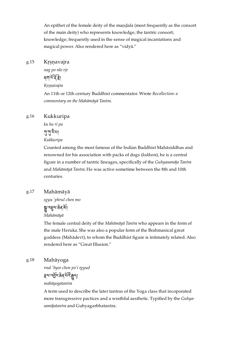An epithet of the female deity of the maṇḍala (most frequently as the consort of the main deity) who represents knowledge; the tantric consort; knowledge; frequently used in the sense of magical incantations and magical power. Also rendered here as "vidyā."

#### <span id="page-41-0"></span>Krsnavajra [g.15](#page-41-0)

*nag po rdo rje*

<u>ৰ মাৰ্থাই দ্বী</u>

*Kṛṣṇavajra*

An 11th or 12th century Buddhist commentator. Wrote *Recollection: a commentary on the Mahāmāyā Tantra*.

#### <span id="page-41-1"></span>Kukkuripa [g.16](#page-41-1)

*ku ku ri pa* শাসীম

*Kukkuripa*

Counted among the most famous of the Indian Buddhist Mahāsiddhas and renowned for his association with packs of dogs (*kukkura*), he is a central figure in a number of tantric lineages, specifically of the *Guhyasamāja Tantra* and *Mahāmāyā Tantra*. He was active sometime between the 8th and 10th centuries.

#### <span id="page-41-2"></span>Mahāmāyā [g.17](#page-41-2)

*sgyu 'phrul chen mo*

য়ৣ৾৽ঽৠ৵ড়ঀ *Mahāmāyā*

The female central deity of the *Mahāmāyā Tantra* who appears in the form of the male Heruka. She was also a popular form of the Brahmanical great goddess (Mahādevī), to whom the Buddhist figure is intimately related. Also rendered here as "Great Illusion."

<span id="page-41-3"></span>Mahāyoga [g.18](#page-41-3)

*rnal 'byor chen po'i rgyud*

ह्वापर्वेद्र:क्रेयर्था कुन्।

### *mahāyogatantra*

A term used to describe the later tantras of the Yoga class that incoporated more transgressive pactices and a wrathful aesthetic. Typified by the *Guhyasamājatantra* and Guhyagarbhatantra.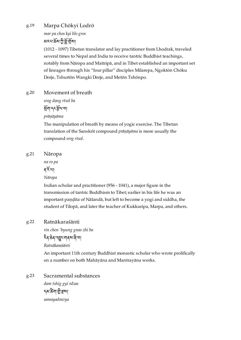#### <span id="page-42-0"></span>Marpa Chökyi Lodrö [g.19](#page-42-0)

*mar pa chos kyi blo gros* <u> মেমাৰ্ক্ৰমাট্ৰী মুঁখী</u>মা

(1012 - 1097) Tibetan translator and lay practitioner from Lhodrak, traveled several times to Nepal and India to receive tantric Buddhist teachings, notably from Nāropa and Maitripā, and in Tibet established an important set of lineages through his "four pillar" disciples Milarepa, Ngoktön Chöku Dorje, Tshurtön Wangki Dorje, and Metön Tshönpo.

#### <span id="page-42-1"></span>Movement of breath [g.20](#page-42-1)

*srog dang rtsol ba*

ག་དང་ལ་བ། *prāṇāyāma*

The manipulation of breath by means of yogic exercise. The Tibetan translation of the Sanskrit compound *prāṇāyāma* is more usually the compound *srog rtsol*.

#### <span id="page-42-2"></span>Nāropa [g.21](#page-42-2)

*na ro pa*

### ৰৰ্কিখা

*Nāropa*

Indian scholar and practitioner (956 - 1041), a major figure in the transmission of tantric Buddhism to Tibet; earlier in his life he was an important paṇḍita of Nālandā, but left to become a yogi and siddha, the student of Tilopā, and later the teacher of Kukkuripa, Marpa, and others.

#### <span id="page-42-3"></span>Ratnākaraśānti [g.22](#page-42-3)

*rin chen 'byung gnas zhi ba*

## ঽৰ্বক্ৰব্ৰহ্মৰ্বৰ্ষৰ না

*Ratnākaraśānti*

An important 11th century Buddhist monastic scholar who wrote prolifically on a number on both Mahāyāna and Mantrayāna works.

<span id="page-42-4"></span>Sacramental substances *dam tshig gyi rdzas* ২থ.ডুখা স্থা *samayadravya* [g.23](#page-42-4)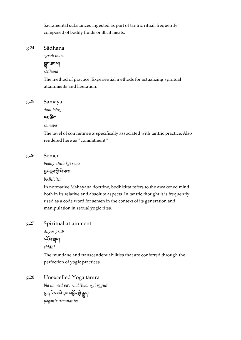Sacramental substances ingested as part of tantric ritual; frequently composed of bodily fluids or illicit meats.

#### <span id="page-43-0"></span>Sādhana [g.24](#page-43-0)

*sgrub thabs*

ষ্ণুন'গ্ৰনমা *sādhana*

The method of practice. Experiential methods for actualizing spiritual attainments and liberation.

<span id="page-43-1"></span>Samaya [g.25](#page-43-1)

*dam tshig*

<sub></sub>নম স্ক্ৰীয

*samaya*

The level of commitments specifically associated with tantric practice. Also rendered here as "commitment."

#### <span id="page-43-2"></span>Semen [g.26](#page-43-2)

*byang chub kyi sems*

হ্রুদ্রুদ'ট্রী মিম্না

*bodhicitta*

In normative Mahāyāna doctrine, bodhicitta refers to the awakened mind both in its relative and absolute aspects. In tantric thought it is frequently used as a code word for semen in the context of its generation and manipulation in sexual yogic rites.

#### <span id="page-43-3"></span>Spiritual attainment [g.27](#page-43-3)

*dngos grub* དས་བ། *siddhi*

The mundane and transcendent abilities that are conferred through the perfection of yogic practices.

<span id="page-43-4"></span>Unexcelled Yoga tantra *bla na med pa'i rnal 'byor gyi rgyud* ন্ন ৰ ন্য ন্য ক্ষেপ্ৰে বৰ্ত্তন বুদ্ধ *yoganiruttaratantra* [g.28](#page-43-4)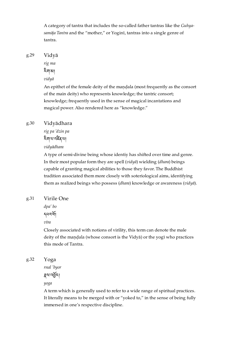A category of tantra that includes the so-called father tantras like the *Guhyasamāja Tantra* and the "mother," or Yoginī, tantras into a single genre of tantra.

<span id="page-44-0"></span>Vidyā [g.29](#page-44-0)

*rig ma*

ག་མ།

*vidyā*

An epithet of the female deity of the mandala (most frequently as the consort of the main deity) who represents knowledge; the tantric consort; knowledge; frequently used in the sense of magical incantations and magical power. Also rendered here as "knowledge."

#### <span id="page-44-1"></span>Vidyādhara [g.30](#page-44-1)

*rig pa 'dzin pa* হিনাযান্ট্ৰেমা *vidyādhara*

A type of semi-divine being whose identiy has shifted over time and genre. In their most popular form they are spell (*vidyā*) wielding (*dhara*) beings capable of granting magical abilities to those they favor. The Buddhist tradition associated them more closely with soteriological aims, identifying them as realized beings who possess (*dhara*) knowledge or awareness (*vidyā*).

#### <span id="page-44-2"></span>Virile One [g.31](#page-44-2)

*dpa' bo*

དཔའ་།

*vīra*

Closely associated with notions of virility, this term can denote the male deity of the maṇḍala (whose consort is the Vidyā) or the yogī who practices this mode of Tantra.

<span id="page-44-3"></span>Yoga [g.32](#page-44-3)

*rnal 'byor*

ह्यान्सुरा

*yoga*

A term which is generally used to refer to a wide range of spiritual practices. It literally means to be merged with or "yoked to," in the sense of being fully immersed in one's respective discipline.